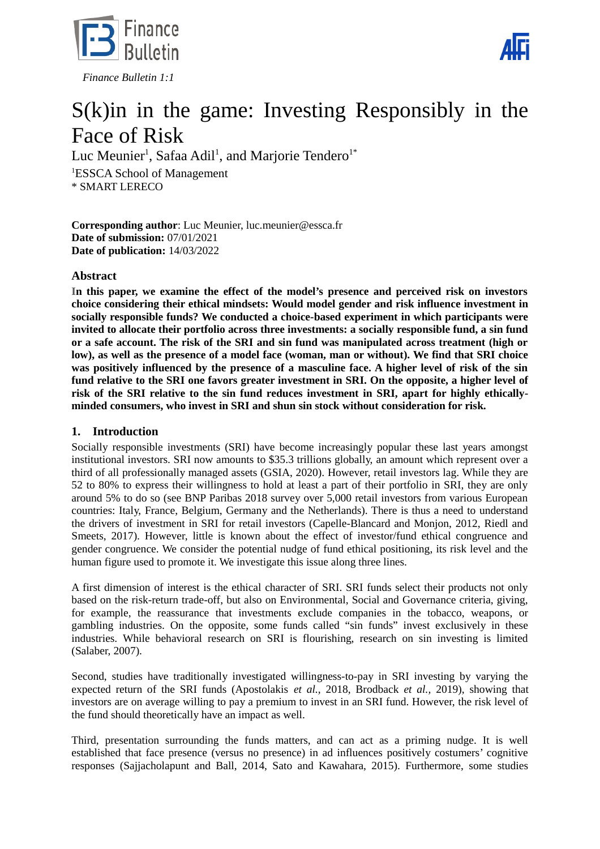



# S(k)in in the game: Investing Responsibly in the Face of Risk

Luc Meunier $^{\rm 1}$ , Safaa Adil $^{\rm 1}$ , and Marjorie Tendero $^{\rm 1*}$ <sup>1</sup>ESSCA School of Management \* SMART LERECO

**Corresponding author**: Luc Meunier, luc.meunier@essca.fr **Date of submission:** 07/01/2021 **Date of publication:** 14/03/2022

# **Abstract**

**In this paper, we examine the effect of the model's presence and perceived risk on investors choice considering their ethical mindsets: Would model gender and risk influence investment in socially responsible funds? We conducted a choice-based experiment in which participants were invited to allocate their portfolio across three investments: a socially responsible fund, a sin fund or a safe account. The risk of the SRI and sin fund was manipulated across treatment (high or low), as well as the presence of a model face (woman, man or without). We find that SRI choice was positively influenced by the presence of a masculine face. A higher level of risk of the sin fund relative to the SRI one favors greater investment in SRI. On the opposite, a higher level of risk of the SRI relative to the sin fund reduces investment in SRI, apart for highly ethicallyminded consumers, who invest in SRI and shun sin stock without consideration for risk.**

# **1. Introduction**

Socially responsible investments (SRI) have become increasingly popular these last years amongst institutional investors. SRI now amounts to \$35.3 trillions globally, an amount which represent over a third of all professionally managed assets (GSIA, 2020). However, retail investors lag. While they are 52 to 80% to express their willingness to hold at least a part of their portfolio in SRI, they are only around 5% to do so (see BNP Paribas 2018 survey over 5,000 retail investors from various European countries: Italy, France, Belgium, Germany and the Netherlands). There is thus a need to understand the drivers of investment in SRI for retail investors (Capelle-Blancard and Monjon, 2012, Riedl and Smeets, 2017). However, little is known about the effect of investor/fund ethical congruence and gender congruence. We consider the potential nudge of fund ethical positioning, its risk level and the human figure used to promote it. We investigate this issue along three lines.

A first dimension of interest is the ethical character of SRI. SRI funds select their products not only based on the risk-return trade-off, but also on Environmental, Social and Governance criteria, giving, for example, the reassurance that investments exclude companies in the tobacco, weapons, or gambling industries. On the opposite, some funds called "sin funds" invest exclusively in these industries. While behavioral research on SRI is flourishing, research on sin investing is limited (Salaber, 2007).

Second, studies have traditionally investigated willingness-to-pay in SRI investing by varying the expected return of the SRI funds (Apostolakis *et al.,* 2018, Brodback *et al.,* 2019), showing that investors are on average willing to pay a premium to invest in an SRI fund. However, the risk level of the fund should theoretically have an impact as well.

Third, presentation surrounding the funds matters, and can act as a priming nudge. It is well established that face presence (versus no presence) in ad influences positively costumers' cognitive responses (Sajjacholapunt and Ball, 2014, Sato and Kawahara, 2015). Furthermore, some studies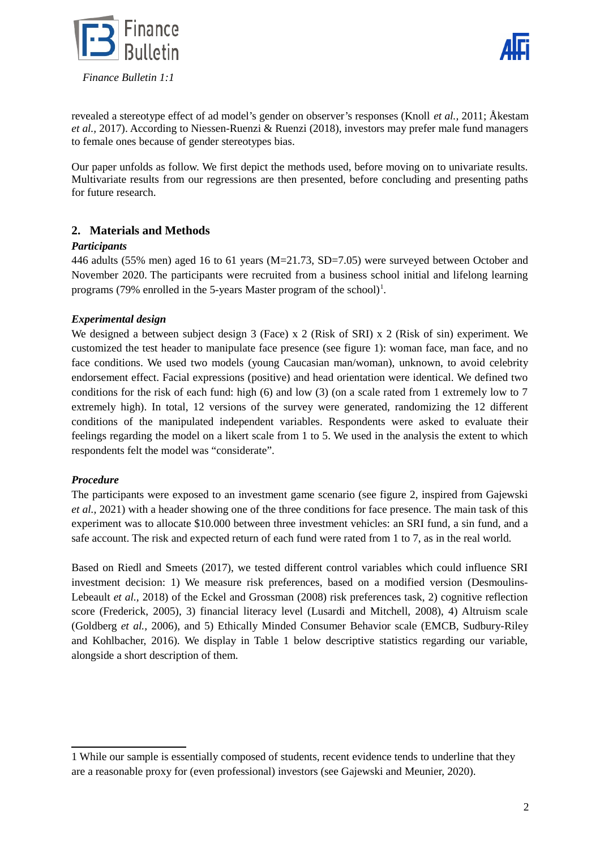



revealed a stereotype effect of ad model's gender on observer's responses (Knoll *et al.,* 2011; Åkestam *et al.,* 2017). According to Niessen-Ruenzi & Ruenzi (2018), investors may prefer male fund managers to female ones because of gender stereotypes bias.

Our paper unfolds as follow. We first depict the methods used, before moving on to univariate results. Multivariate results from our regressions are then presented, before concluding and presenting paths for future research.

# **2. Materials and Methods**

# *Participants*

446 adults (55% men) aged 16 to 61 years (M=21.73, SD=7.05) were surveyed between October and November 2020. The participants were recruited from a business school initial and lifelong learning programs (79% enrolled in the 5-years Master program of the school)<sup>[1](#page-1-0)</sup>.

# *Experimental design*

We designed a between subject design 3 (Face) x 2 (Risk of SRI) x 2 (Risk of sin) experiment. We customized the test header to manipulate face presence (see figure 1): woman face, man face, and no face conditions. We used two models (young Caucasian man/woman), unknown, to avoid celebrity endorsement effect. Facial expressions (positive) and head orientation were identical. We defined two conditions for the risk of each fund: high (6) and low (3) (on a scale rated from 1 extremely low to 7 extremely high). In total, 12 versions of the survey were generated, randomizing the 12 different conditions of the manipulated independent variables. Respondents were asked to evaluate their feelings regarding the model on a likert scale from 1 to 5. We used in the analysis the extent to which respondents felt the model was "considerate".

#### *Procedure*

The participants were exposed to an investment game scenario (see figure 2, inspired from Gajewski *et al.,* 2021) with a header showing one of the three conditions for face presence. The main task of this experiment was to allocate \$10.000 between three investment vehicles: an SRI fund, a sin fund, and a safe account. The risk and expected return of each fund were rated from 1 to 7, as in the real world.

Based on Riedl and Smeets (2017), we tested different control variables which could influence SRI investment decision: 1) We measure risk preferences, based on a modified version (Desmoulins-Lebeault *et al.*, 2018) of the Eckel and Grossman (2008) risk preferences task, 2) cognitive reflection score (Frederick, 2005), 3) financial literacy level (Lusardi and Mitchell, 2008), 4) Altruism scale (Goldberg *et al.,* 2006), and 5) Ethically Minded Consumer Behavior scale (EMCB, Sudbury-Riley and Kohlbacher, 2016). We display in Table 1 below descriptive statistics regarding our variable, alongside a short description of them.

<span id="page-1-0"></span><sup>1</sup> While our sample is essentially composed of students, recent evidence tends to underline that they are a reasonable proxy for (even professional) investors (see Gajewski and Meunier, 2020).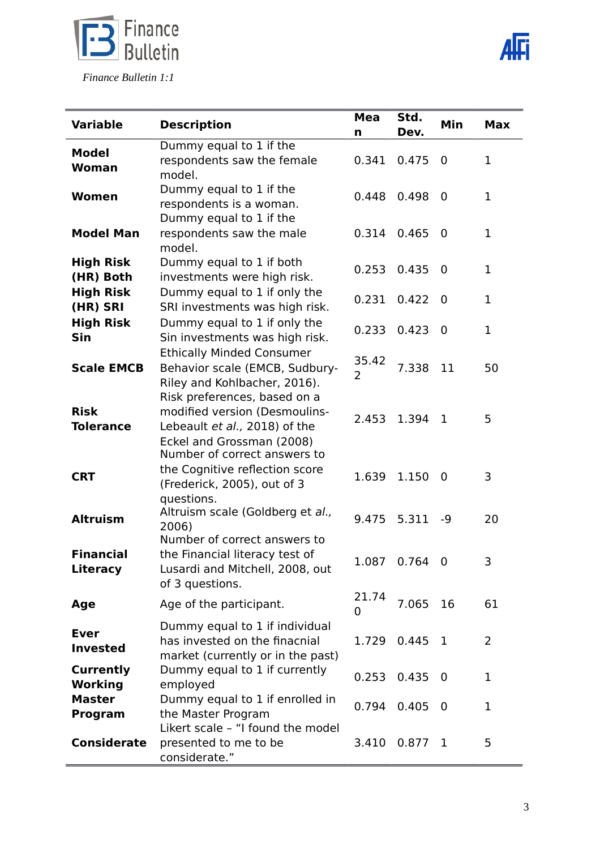

 *Finance Bulletin 1:1*



|                         |                                                                    | <b>Mea</b>     | Std.           |             |              |
|-------------------------|--------------------------------------------------------------------|----------------|----------------|-------------|--------------|
| <b>Variable</b>         | <b>Description</b>                                                 | n              | Dev.           | Min         | <b>Max</b>   |
| Model                   | Dummy equal to 1 if the                                            |                |                |             |              |
| <b>Woman</b>            | respondents saw the female                                         | 0.341          | 0.475          | $\mathbf 0$ | $\mathbf 1$  |
|                         | model.                                                             |                |                |             |              |
| Women                   | Dummy equal to 1 if the                                            | 0.448          | 0.498          | 0           | 1            |
|                         | respondents is a woman.                                            |                |                |             |              |
|                         | Dummy equal to 1 if the                                            |                |                |             |              |
| <b>Model Man</b>        | respondents saw the male                                           | 0.314          | 0.465          | $\mathbf 0$ | 1            |
|                         | model.                                                             |                |                |             |              |
| <b>High Risk</b>        | Dummy equal to 1 if both                                           | 0.253          | 0.435          | 0           | 1            |
| (HR) Both               | investments were high risk.                                        |                |                |             |              |
| <b>High Risk</b>        | Dummy equal to 1 if only the                                       | 0.231          | 0.422          | $\mathbf 0$ | $\mathbf 1$  |
| (HR) SRI                | SRI investments was high risk.                                     |                |                |             |              |
| <b>High Risk</b><br>Sin | Dummy equal to 1 if only the                                       | 0.233          | 0.423          | $\mathbf 0$ | $\mathbf{1}$ |
|                         | Sin investments was high risk.                                     |                |                |             |              |
| <b>Scale EMCB</b>       | <b>Ethically Minded Consumer</b><br>Behavior scale (EMCB, Sudbury- | 35.42          | 7.338          | 11          |              |
|                         | Riley and Kohlbacher, 2016).                                       | $\overline{2}$ |                |             | 50           |
|                         | Risk preferences, based on a                                       |                |                |             |              |
| <b>Risk</b>             | modified version (Desmoulins-                                      |                |                |             |              |
| <b>Tolerance</b>        | Lebeault et al., 2018) of the                                      | 2.453          | 1.394          | $\mathbf 1$ | 5            |
|                         | Eckel and Grossman (2008)                                          |                |                |             |              |
|                         | Number of correct answers to                                       |                |                |             |              |
|                         | the Cognitive reflection score                                     |                | 1.150<br>5.311 | 0<br>$-9$   | 3<br>20      |
| <b>CRT</b>              | (Frederick, 2005), out of 3                                        | 1.639          |                |             |              |
|                         | questions.                                                         |                |                |             |              |
| <b>Altruism</b>         | Altruism scale (Goldberg et al.,                                   | 9.475          |                |             |              |
|                         | 2006)                                                              |                |                |             |              |
|                         | Number of correct answers to                                       |                |                |             |              |
| <b>Financial</b>        | the Financial literacy test of                                     |                | 1.087 0.764 0  |             | 3            |
| <b>Literacy</b>         | Lusardi and Mitchell, 2008, out<br>of 3 questions.                 |                |                |             |              |
|                         |                                                                    | 21.74          |                |             |              |
| Age                     | Age of the participant.                                            | 0              | 7.065          | 16          | 61           |
|                         | Dummy equal to 1 if individual                                     |                |                |             |              |
| <b>Ever</b>             | has invested on the finacnial                                      | 1.729          | 0.445          | 1           | 2            |
| <b>Invested</b>         | market (currently or in the past)                                  |                |                |             |              |
| <b>Currently</b>        | Dummy equal to 1 if currently                                      |                |                |             |              |
| Working                 | employed                                                           |                | 0.253 0.435    | 0           | 1            |
| <b>Master</b>           | Dummy equal to 1 if enrolled in                                    | 0.794          | 0.405          | $\mathbf 0$ | 1            |
| Program                 | the Master Program                                                 |                |                |             |              |
|                         | Likert scale - "I found the model                                  |                |                |             |              |
| <b>Considerate</b>      | presented to me to be                                              | 3.410          | $0.877$ 1      |             | 5            |
|                         | considerate."                                                      |                |                |             |              |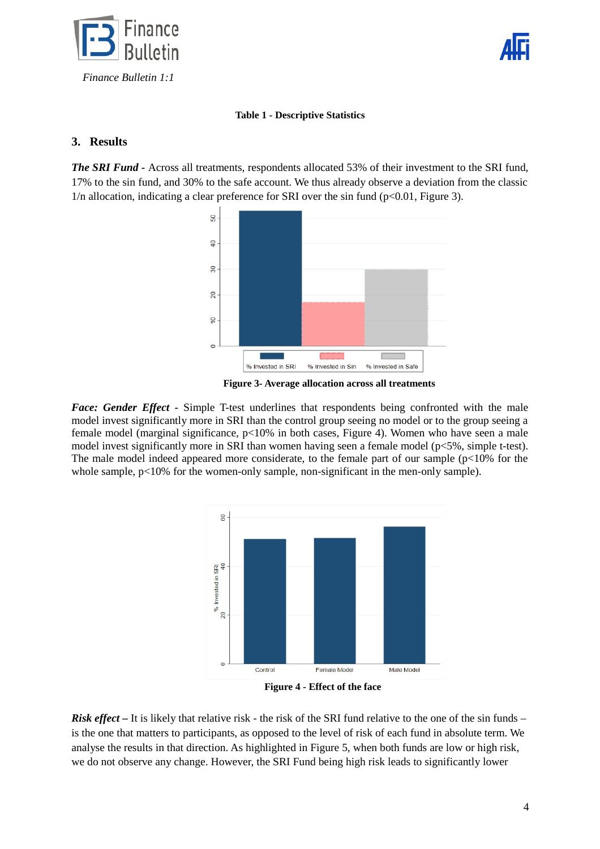



#### **Table 1 - Descriptive Statistics**

# **3. Results**

**The SRI Fund -** Across all treatments, respondents allocated 53% of their investment to the SRI fund, 17% to the sin fund, and 30% to the safe account. We thus already observe a deviation from the classic  $1/n$  allocation, indicating a clear preference for SRI over the sin fund ( $p<0.01$ , Figure 3).



**Figure 3- Average allocation across all treatments**

*Face: Gender Effect* **-** Simple T-test underlines that respondents being confronted with the male model invest significantly more in SRI than the control group seeing no model or to the group seeing a female model (marginal significance, p<10% in both cases, Figure 4). Women who have seen a male model invest significantly more in SRI than women having seen a female model (p<5%, simple t-test). The male model indeed appeared more considerate, to the female part of our sample ( $p<10\%$  for the whole sample,  $p<10\%$  for the women-only sample, non-significant in the men-only sample).



**Figure 4 - Effect of the face**

*Risk effect* – It is likely that relative risk - the risk of the SRI fund relative to the one of the sin funds – is the one that matters to participants, as opposed to the level of risk of each fund in absolute term. We analyse the results in that direction. As highlighted in Figure 5, when both funds are low or high risk, we do not observe any change. However, the SRI Fund being high risk leads to significantly lower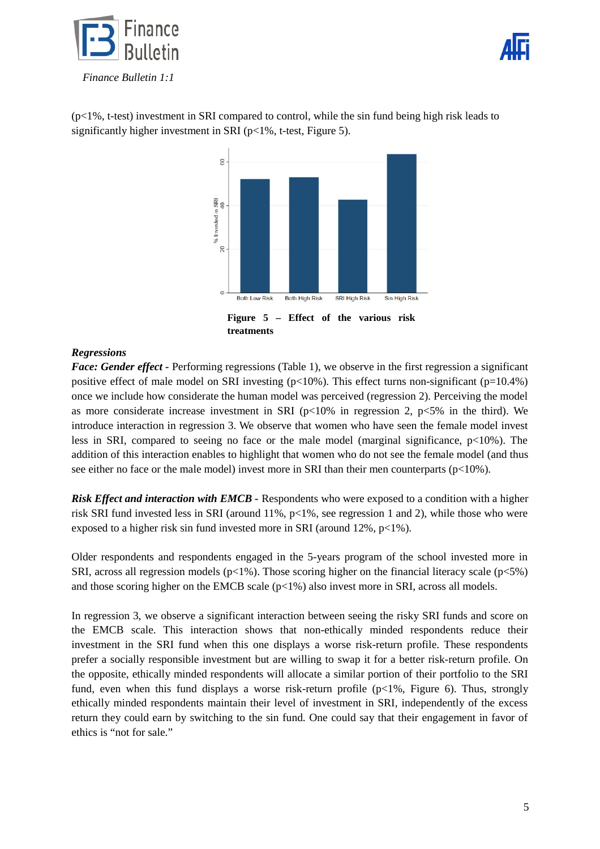![](_page_4_Picture_0.jpeg)

![](_page_4_Picture_1.jpeg)

(p<1%, t-test) investment in SRI compared to control, while the sin fund being high risk leads to significantly higher investment in SRI (p<1%, t-test, Figure 5).

![](_page_4_Figure_3.jpeg)

# *Regressions*

*Face: Gender effect -* Performing regressions (Table 1), we observe in the first regression a significant positive effect of male model on SRI investing  $(p<10\%)$ . This effect turns non-significant  $(p=10.4\%)$ once we include how considerate the human model was perceived (regression 2). Perceiving the model as more considerate increase investment in SRI  $(p<10\%$  in regression 2,  $p<5\%$  in the third). We introduce interaction in regression 3. We observe that women who have seen the female model invest less in SRI, compared to seeing no face or the male model (marginal significance,  $p<10\%$ ). The addition of this interaction enables to highlight that women who do not see the female model (and thus see either no face or the male model) invest more in SRI than their men counterparts ( $p<10\%$ ).

*Risk Effect and interaction with EMCB -* Respondents who were exposed to a condition with a higher risk SRI fund invested less in SRI (around  $11\%$ ,  $p<1\%$ , see regression 1 and 2), while those who were exposed to a higher risk sin fund invested more in SRI (around 12%, p<1%).

Older respondents and respondents engaged in the 5-years program of the school invested more in SRI, across all regression models ( $p<1\%$ ). Those scoring higher on the financial literacy scale ( $p<5\%$ ) and those scoring higher on the EMCB scale ( $p<1\%$ ) also invest more in SRI, across all models.

In regression 3, we observe a significant interaction between seeing the risky SRI funds and score on the EMCB scale. This interaction shows that non-ethically minded respondents reduce their investment in the SRI fund when this one displays a worse risk-return profile. These respondents prefer a socially responsible investment but are willing to swap it for a better risk-return profile. On the opposite, ethically minded respondents will allocate a similar portion of their portfolio to the SRI fund, even when this fund displays a worse risk-return profile ( $p$ <1%, Figure 6). Thus, strongly ethically minded respondents maintain their level of investment in SRI, independently of the excess return they could earn by switching to the sin fund. One could say that their engagement in favor of ethics is "not for sale."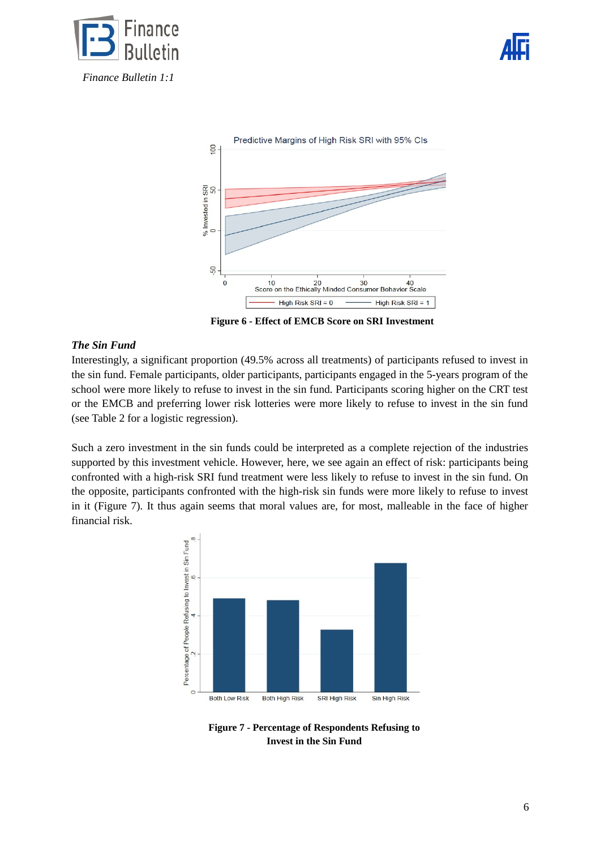![](_page_5_Picture_0.jpeg)

![](_page_5_Picture_1.jpeg)

![](_page_5_Figure_2.jpeg)

**Figure 6 - Effect of EMCB Score on SRI Investment** 

#### *The Sin Fund*

Interestingly, a significant proportion (49.5% across all treatments) of participants refused to invest in the sin fund. Female participants, older participants, participants engaged in the 5-years program of the school were more likely to refuse to invest in the sin fund. Participants scoring higher on the CRT test or the EMCB and preferring lower risk lotteries were more likely to refuse to invest in the sin fund (see Table 2 for a logistic regression).

Such a zero investment in the sin funds could be interpreted as a complete rejection of the industries supported by this investment vehicle. However, here, we see again an effect of risk: participants being confronted with a high-risk SRI fund treatment were less likely to refuse to invest in the sin fund. On the opposite, participants confronted with the high-risk sin funds were more likely to refuse to invest in it (Figure 7). It thus again seems that moral values are, for most, malleable in the face of higher financial risk.

![](_page_5_Figure_7.jpeg)

**Figure 7 - Percentage of Respondents Refusing to Invest in the Sin Fund**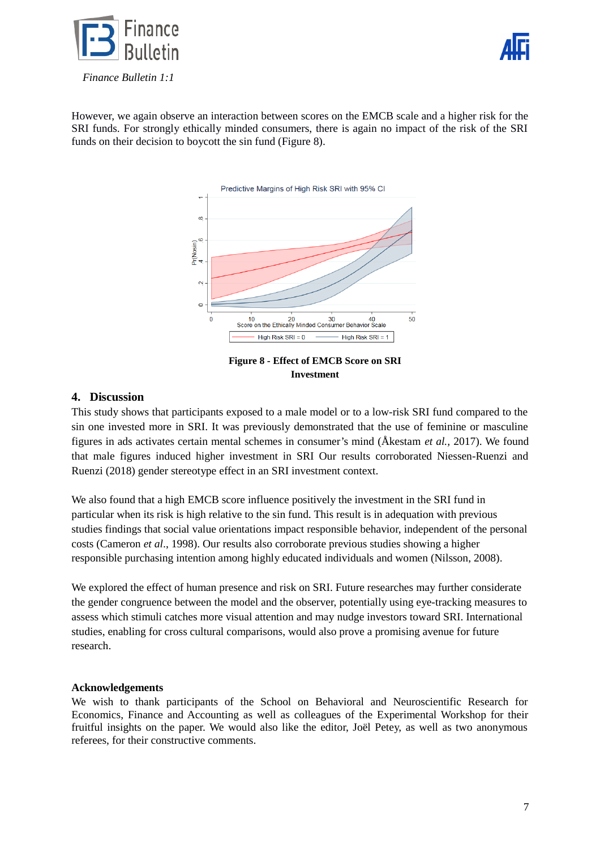![](_page_6_Picture_0.jpeg)

![](_page_6_Picture_1.jpeg)

However, we again observe an interaction between scores on the EMCB scale and a higher risk for the SRI funds. For strongly ethically minded consumers, there is again no impact of the risk of the SRI funds on their decision to boycott the sin fund (Figure 8).

![](_page_6_Figure_3.jpeg)

**Figure 8 - Effect of EMCB Score on SRI Investment**

# **4. Discussion**

This study shows that participants exposed to a male model or to a low-risk SRI fund compared to the sin one invested more in SRI. It was previously demonstrated that the use of feminine or masculine figures in ads activates certain mental schemes in consumer's mind (Åkestam *et al.,* 2017). We found that male figures induced higher investment in SRI Our results corroborated Niessen-Ruenzi and Ruenzi (2018) gender stereotype effect in an SRI investment context.

We also found that a high EMCB score influence positively the investment in the SRI fund in particular when its risk is high relative to the sin fund. This result is in adequation with previous studies findings that social value orientations impact responsible behavior, independent of the personal costs (Cameron *et al*., 1998). Our results also corroborate previous studies showing a higher responsible purchasing intention among highly educated individuals and women (Nilsson, 2008).

We explored the effect of human presence and risk on SRI. Future researches may further considerate the gender congruence between the model and the observer, potentially using eye-tracking measures to assess which stimuli catches more visual attention and may nudge investors toward SRI. International studies, enabling for cross cultural comparisons, would also prove a promising avenue for future research.

#### **Acknowledgements**

We wish to thank participants of the School on Behavioral and Neuroscientific Research for Economics, Finance and Accounting as well as colleagues of the Experimental Workshop for their fruitful insights on the paper. We would also like the editor, Joël Petey, as well as two anonymous referees, for their constructive comments.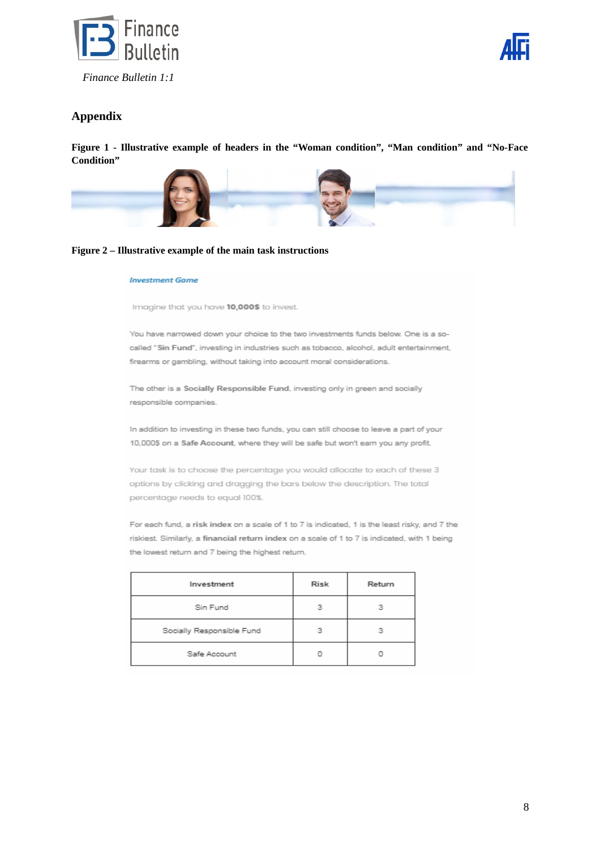![](_page_7_Picture_0.jpeg)

![](_page_7_Picture_1.jpeg)

# **Appendix**

**Figure 1 - Illustrative example of headers in the "Woman condition", "Man condition" and "No-Face Condition"**

![](_page_7_Picture_4.jpeg)

#### **Figure 2 – Illustrative example of the main task instructions**

#### **Investment Game**

Imagine that you have 10,000\$ to invest.

You have narrowed down your choice to the two investments funds below. One is a socalled "Sin Fund", investing in industries such as tobacco, alcohol, adult entertainment, firearms or gambling, without taking into account moral considerations.

The other is a Socially Responsible Fund, investing only in green and socially responsible companies.

In addition to investing in these two funds, you can still choose to leave a part of your 10,000\$ on a Safe Account, where they will be safe but won't earn you any profit.

Your task is to choose the percentage you would allocate to each of these 3 options by clicking and dragging the bars below the description. The total percentage needs to equal 100%.

For each fund, a risk index on a scale of 1 to 7 is indicated, 1 is the least risky, and 7 the riskiest. Similarly, a financial return index on a scale of 1 to 7 is indicated, with 1 being the lowest return and 7 being the highest return.

| Investment                | Risk | Return |
|---------------------------|------|--------|
| Sin Fund                  | ٠    | 2      |
| Socially Responsible Fund | ٩    | 2      |
| Safe Account              |      |        |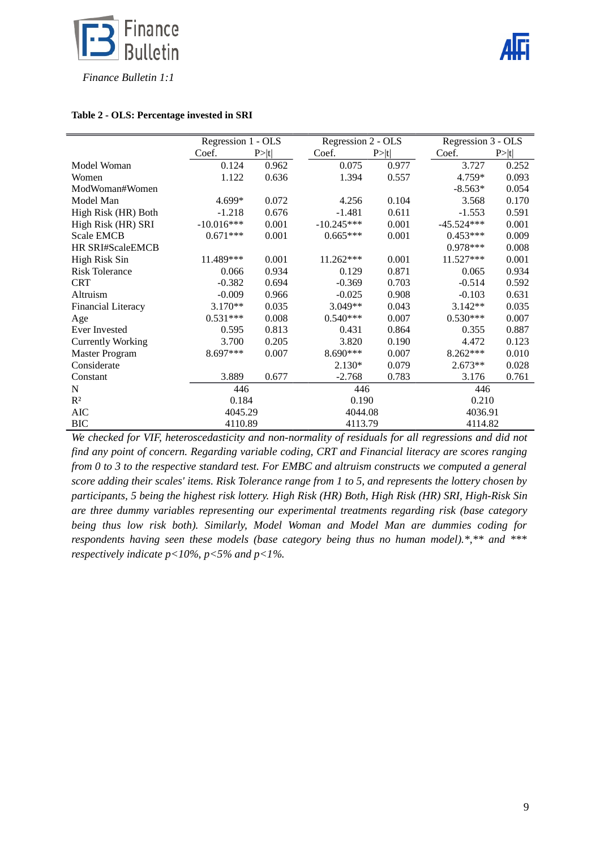![](_page_8_Picture_0.jpeg)

![](_page_8_Picture_1.jpeg)

#### **Table 2 - OLS: Percentage invested in SRI**

|                           | Regression 1 - OLS |        | Regression 2 - OLS |        | Regression 3 - OLS |        |
|---------------------------|--------------------|--------|--------------------|--------|--------------------|--------|
|                           | Coef.              | P >  t | Coef.              | P >  t | Coef.              | P >  t |
| Model Woman               | 0.124              | 0.962  | 0.075              | 0.977  | 3.727              | 0.252  |
| Women                     | 1.122              | 0.636  | 1.394              | 0.557  | 4.759*             | 0.093  |
| ModWoman#Women            |                    |        |                    |        | $-8.563*$          | 0.054  |
| Model Man                 | 4.699*             | 0.072  | 4.256              | 0.104  | 3.568              | 0.170  |
| High Risk (HR) Both       | $-1.218$           | 0.676  | $-1.481$           | 0.611  | $-1.553$           | 0.591  |
| High Risk (HR) SRI        | $-10.016***$       | 0.001  | $-10.245***$       | 0.001  | $-45.524***$       | 0.001  |
| <b>Scale EMCB</b>         | $0.671***$         | 0.001  | $0.665***$         | 0.001  | $0.453***$         | 0.009  |
| HR SRI#ScaleEMCB          |                    |        |                    |        | $0.978***$         | 0.008  |
| High Risk Sin             | 11.489***          | 0.001  | 11.262***          | 0.001  | 11.527***          | 0.001  |
| <b>Risk Tolerance</b>     | 0.066              | 0.934  | 0.129              | 0.871  | 0.065              | 0.934  |
| <b>CRT</b>                | $-0.382$           | 0.694  | $-0.369$           | 0.703  | $-0.514$           | 0.592  |
| Altruism                  | $-0.009$           | 0.966  | $-0.025$           | 0.908  | $-0.103$           | 0.631  |
| <b>Financial Literacy</b> | $3.170**$          | 0.035  | 3.049**            | 0.043  | $3.142**$          | 0.035  |
| Age                       | $0.531***$         | 0.008  | $0.540***$         | 0.007  | $0.530***$         | 0.007  |
| <b>Ever Invested</b>      | 0.595              | 0.813  | 0.431              | 0.864  | 0.355              | 0.887  |
| <b>Currently Working</b>  | 3.700              | 0.205  | 3.820              | 0.190  | 4.472              | 0.123  |
| <b>Master Program</b>     | 8.697***           | 0.007  | 8.690***           | 0.007  | 8.262***           | 0.010  |
| Considerate               |                    |        | $2.130*$           | 0.079  | 2.673**            | 0.028  |
| Constant                  | 3.889              | 0.677  | $-2.768$           | 0.783  | 3.176              | 0.761  |
| N                         | 446                |        | 446                |        | 446                |        |
| $\mathbb{R}^2$            | 0.184              |        | 0.190              |        | 0.210              |        |
| <b>AIC</b>                | 4045.29            |        | 4044.08            |        | 4036.91            |        |
| <b>BIC</b>                | 4110.89            |        | 4113.79            |        | 4114.82            |        |

*We checked for VIF, heteroscedasticity and non-normality of residuals for all regressions and did not find any point of concern. Regarding variable coding, CRT and Financial literacy are scores ranging from 0 to 3 to the respective standard test. For EMBC and altruism constructs we computed a general score adding their scales' items. Risk Tolerance range from 1 to 5, and represents the lottery chosen by participants, 5 being the highest risk lottery. High Risk (HR) Both, High Risk (HR) SRI, High-Risk Sin are three dummy variables representing our experimental treatments regarding risk (base category being thus low risk both). Similarly, Model Woman and Model Man are dummies coding for respondents having seen these models (base category being thus no human model).\*,\*\* and \*\*\* respectively indicate p<10%, p<5% and p<1%.*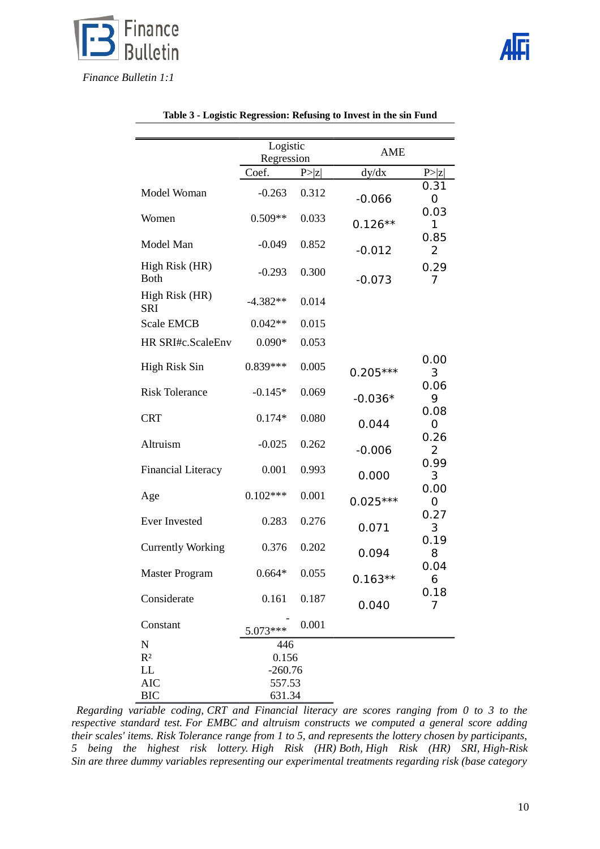![](_page_9_Picture_0.jpeg)

|                               | Logistic   |        | <b>AME</b> |           |  |
|-------------------------------|------------|--------|------------|-----------|--|
|                               | Regression |        |            |           |  |
|                               | Coef.      | P >  z | dy/dx      | P >  z    |  |
| Model Woman                   | $-0.263$   | 0.312  | $-0.066$   | 0.31<br>0 |  |
| Women                         | $0.509**$  | 0.033  | $0.126**$  | 0.03<br>1 |  |
| Model Man                     | $-0.049$   | 0.852  | $-0.012$   | 0.85<br>2 |  |
| High Risk (HR)<br><b>Both</b> | $-0.293$   | 0.300  | $-0.073$   | 0.29<br>7 |  |
| High Risk (HR)<br><b>SRI</b>  | $-4.382**$ | 0.014  |            |           |  |
| <b>Scale EMCB</b>             | $0.042**$  | 0.015  |            |           |  |
| HR SRI#c.ScaleEnv             | $0.090*$   | 0.053  |            |           |  |
| High Risk Sin                 | $0.839***$ | 0.005  | $0.205***$ | 0.00<br>3 |  |
| <b>Risk Tolerance</b>         | $-0.145*$  | 0.069  | $-0.036*$  | 0.06<br>9 |  |
| <b>CRT</b>                    | $0.174*$   | 0.080  | 0.044      | 0.08<br>0 |  |
| Altruism                      | $-0.025$   | 0.262  | $-0.006$   | 0.26<br>2 |  |
| <b>Financial Literacy</b>     | 0.001      | 0.993  | 0.000      | 0.99<br>3 |  |
| Age                           | $0.102***$ | 0.001  | $0.025***$ | 0.00<br>0 |  |
| <b>Ever Invested</b>          | 0.283      | 0.276  | 0.071      | 0.27<br>3 |  |
| <b>Currently Working</b>      | 0.376      | 0.202  | 0.094      | 0.19<br>8 |  |
| <b>Master Program</b>         | $0.664*$   | 0.055  | $0.163**$  | 0.04<br>6 |  |
| Considerate                   | 0.161      | 0.187  | 0.040      | 0.18<br>7 |  |
| Constant                      | $5.073***$ | 0.001  |            |           |  |
| ${\bf N}$                     | 446        |        |            |           |  |
| R <sup>2</sup>                | 0.156      |        |            |           |  |
| LL                            | $-260.76$  |        |            |           |  |
| <b>AIC</b>                    | 557.53     |        |            |           |  |
| <b>BIC</b>                    | 631.34     |        |            |           |  |

|  |  | Table 3 - Logistic Regression: Refusing to Invest in the sin Fund |
|--|--|-------------------------------------------------------------------|
|  |  |                                                                   |

*Regarding variable coding, CRT and Financial literacy are scores ranging from 0 to 3 to the respective standard test. For EMBC and altruism constructs we computed a general score adding their scales' items. Risk Tolerance range from 1 to 5, and represents the lottery chosen by participants, 5 being the highest risk lottery. High Risk (HR) Both, High Risk (HR) SRI, High-Risk Sin are three dummy variables representing our experimental treatments regarding risk (base category*

![](_page_9_Picture_5.jpeg)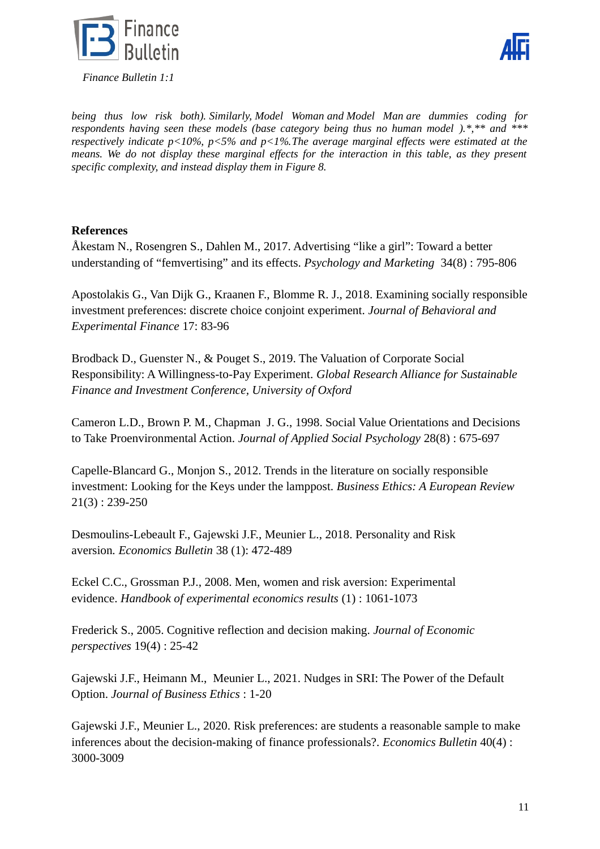![](_page_10_Picture_0.jpeg)

![](_page_10_Picture_1.jpeg)

*being thus low risk both). Similarly, Model Woman and Model Man are dummies coding for respondents having seen these models (base category being thus no human model ).\*,\*\* and \*\*\* respectively indicate p<10%, p<5% and p<1%.The average marginal effects were estimated at the means. We do not display these marginal effects for the interaction in this table, as they present specific complexity, and instead display them in Figure 8.*

# **References**

Åkestam N., Rosengren S., Dahlen M., 2017. Advertising "like a girl": Toward a better understanding of "femvertising" and its effects. *Psychology and Marketing* 34(8) : 795-806

Apostolakis G., Van Dijk G., Kraanen F., Blomme R. J., 2018. Examining socially responsible investment preferences: discrete choice conjoint experiment. *Journal of Behavioral and Experimental Finance* 17: 83-96

Brodback D., Guenster N., & Pouget S., 2019. The Valuation of Corporate Social Responsibility: A Willingness-to-Pay Experiment. *Global Research Alliance for Sustainable Finance and Investment Conference, University of Oxford*

Cameron L.D., Brown P. M., Chapman J. G., 1998. Social Value Orientations and Decisions to Take Proenvironmental Action. *Journal of Applied Social Psychology* 28(8) : 675-697

Capelle-Blancard G., Monjon S., 2012. Trends in the literature on socially responsible investment: Looking for the Keys under the lamppost. *Business Ethics: A European Review*  21(3) : 239-250

Desmoulins-Lebeault F., Gajewski J.F., Meunier L., 2018. Personality and Risk aversion*. Economics Bulletin* 38 (1): 472-489

Eckel C.C., Grossman P.J., 2008. Men, women and risk aversion: Experimental evidence. *Handbook of experimental economics results* (1) : 1061-1073

Frederick S., 2005. Cognitive reflection and decision making. *Journal of Economic perspectives* 19(4) : 25-42

Gajewski J.F., Heimann M., Meunier L., 2021. Nudges in SRI: The Power of the Default Option. *Journal of Business Ethics* : 1-20

Gajewski J.F., Meunier L., 2020. Risk preferences: are students a reasonable sample to make inferences about the decision-making of finance professionals?. *Economics Bulletin* 40(4) : 3000-3009